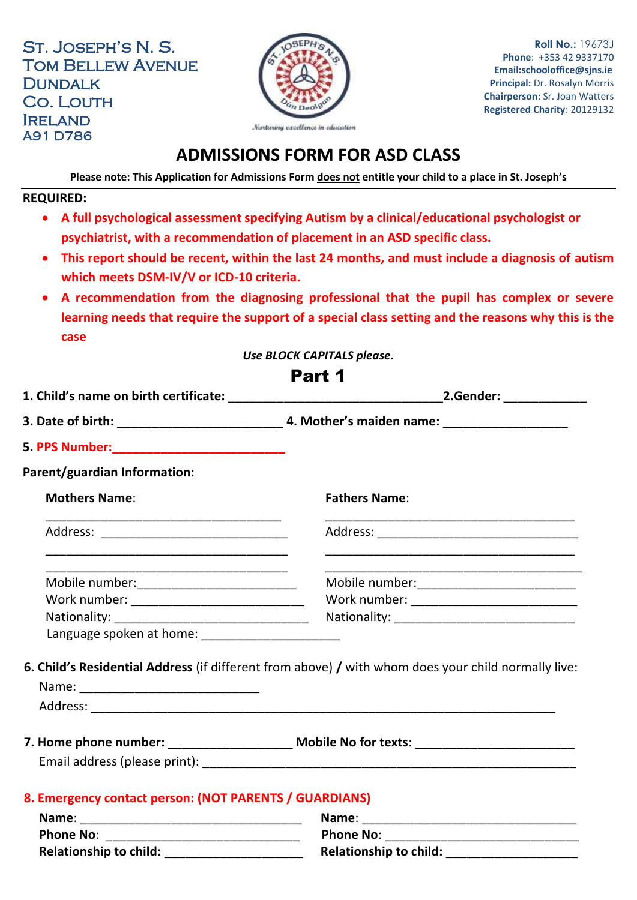St. Joseph's N. S. Tom Bellew Avenue **DUNDALK** Co. Louth **IRELAND** A91 D786



**Roll No.:** 19673J **Phone**: +353 42 9337170 **Email:schooloffice@sjns.ie Principal:** Dr. Rosalyn Morris **Chairperson**: Sr. Joan Watters **Registered Charity**: 20129132

# **ADMISSIONS FORM FOR ASD CLASS**

**Please note: This Application for Admissions Form does not entitle your child to a place in St. Joseph's**

#### **REQUIRED:**

- **A full psychological assessment specifying Autism by a clinical/educational psychologist or psychiatrist, with a recommendation of placement in an ASD specific class.**
- **This report should be recent, within the last 24 months, and must include a diagnosis of autism which meets DSM-IV/V or ICD-10 criteria.**
- **A recommendation from the diagnosing professional that the pupil has complex or severe learning needs that require the support of a special class setting and the reasons why this is the case**

*Use BLOCK CAPITALS please.*

### Part 1 **1. Child's name on birth certificate:** \_\_\_\_\_\_\_\_\_\_\_\_\_\_\_\_\_\_\_\_\_\_\_\_\_\_\_\_\_\_\_**2.Gender:** \_\_\_\_\_\_\_\_\_\_\_\_ **3. Date of birth:** \_\_\_\_\_\_\_\_\_\_\_\_\_\_\_\_\_\_\_\_\_\_\_\_ **4. Mother's maiden name:** \_\_\_\_\_\_\_\_\_\_\_\_\_\_\_\_\_\_ **5. PPS Number:\_\_\_\_\_\_\_\_\_\_\_\_\_\_\_\_\_\_\_\_\_\_\_\_\_ Parent/guardian Information: Mothers Name**: \_\_\_\_\_\_\_\_\_\_\_\_\_\_\_\_\_\_\_\_\_\_\_\_\_\_\_\_\_\_\_\_\_\_ Address: \_\_\_\_\_\_\_\_\_\_\_\_\_\_\_\_\_\_\_\_\_\_\_\_\_\_\_ \_\_\_\_\_\_\_\_\_\_\_\_\_\_\_\_\_\_\_\_\_\_\_\_\_\_\_\_\_\_\_\_\_\_\_ \_\_\_\_\_\_\_\_\_\_\_\_\_\_\_\_\_\_\_\_\_\_\_\_\_\_\_\_\_\_\_\_\_\_\_ Mobile number:\_\_\_\_\_\_\_\_\_\_\_\_\_\_\_\_\_\_\_\_\_\_\_\_\_\_\_\_ Work number: \_\_\_\_\_\_\_\_\_\_\_\_\_\_\_\_\_\_\_\_\_\_\_\_\_ Nationality: \_\_\_\_\_\_\_\_\_\_\_\_\_\_\_\_\_\_\_\_\_\_\_\_\_\_\_\_ **Fathers Name**: \_\_\_\_\_\_\_\_\_\_\_\_\_\_\_\_\_\_\_\_\_\_\_\_\_\_\_\_\_\_\_\_\_\_\_\_ Address: \_\_\_\_\_\_\_\_\_\_\_\_\_\_\_\_\_\_\_\_\_\_\_\_\_\_\_\_\_ \_\_\_\_\_\_\_\_\_\_\_\_\_\_\_\_\_\_\_\_\_\_\_\_\_\_\_\_\_\_\_\_\_\_\_\_ \_\_\_\_\_\_\_\_\_\_\_\_\_\_\_\_\_\_\_\_\_\_\_\_\_\_\_\_\_\_\_\_\_\_\_\_\_ Mobile number:  $\blacksquare$ Work number: \_\_\_\_\_\_\_\_\_\_\_\_\_\_\_\_\_\_\_\_\_\_\_\_ Nationality: \_\_\_\_\_\_\_\_\_\_\_\_\_\_\_\_\_\_\_\_\_\_\_\_\_\_ Language spoken at home: \_\_\_\_\_\_\_\_\_\_\_\_\_\_\_\_\_\_\_\_ **6. Child's Residential Address** (if different from above) **/** with whom does your child normally live: Name: \_\_\_\_\_\_\_\_\_\_\_\_\_\_\_\_\_\_\_\_\_\_\_\_\_\_ Address: **7. Home phone number:** \_\_\_\_\_\_\_\_\_\_\_\_\_\_\_\_\_\_ **Mobile No for texts**: \_\_\_\_\_\_\_\_\_\_\_\_\_\_\_\_\_\_\_\_\_\_\_ Email address (please print): **Email address** (please print): **8. Emergency contact person: (NOT PARENTS / GUARDIANS) Name**: \_\_\_\_\_\_\_\_\_\_\_\_\_\_\_\_\_\_\_\_\_\_\_\_\_\_\_\_\_\_\_\_ **Name**: \_\_\_\_\_\_\_\_\_\_\_\_\_\_\_\_\_\_\_\_\_\_\_\_\_\_\_\_\_\_\_ **Phone No**: \_\_\_\_\_\_\_\_\_\_\_\_\_\_\_\_\_\_\_\_\_\_\_\_\_\_\_\_ **Phone No**: \_\_\_\_\_\_\_\_\_\_\_\_\_\_\_\_\_\_\_\_\_\_\_\_\_\_\_\_

**Relationship to child:** \_\_\_\_\_\_\_\_\_\_\_\_\_\_\_\_\_\_\_\_ **Relationship to child:** \_\_\_\_\_\_\_\_\_\_\_\_\_\_\_\_\_\_\_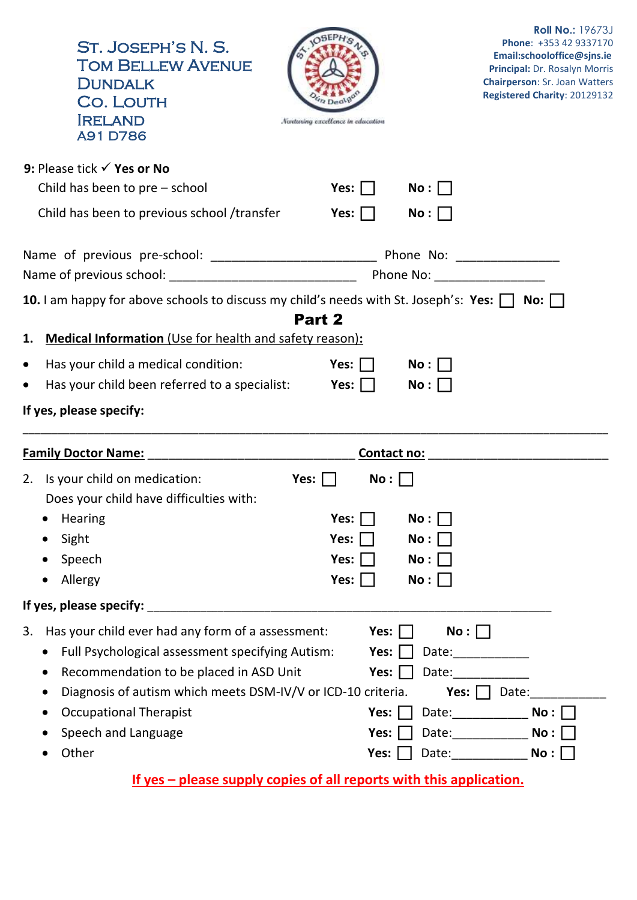| ST. JOSEPH'S N. S.<br><b>TOM BELLEW AVENUE</b><br><b>DUNDALK</b><br><b>CO. LOUTH</b><br><b>IRELAND</b><br><b>A91D786</b>                                                                                                                                                                    | Nantusing excellence in education      |            | <b>Roll No.: 19673J</b><br>Phone: +353 42 9337170<br>Email:schooloffice@sjns.ie<br>Principal: Dr. Rosalyn Morris<br><b>Chairperson: Sr. Joan Watters</b><br>Registered Charity: 20129132                                               |
|---------------------------------------------------------------------------------------------------------------------------------------------------------------------------------------------------------------------------------------------------------------------------------------------|----------------------------------------|------------|----------------------------------------------------------------------------------------------------------------------------------------------------------------------------------------------------------------------------------------|
| 9: Please tick $\checkmark$ Yes or No                                                                                                                                                                                                                                                       |                                        |            |                                                                                                                                                                                                                                        |
| Child has been to $pre$ – school                                                                                                                                                                                                                                                            | Yes: $\Box$ No : $\Box$                |            |                                                                                                                                                                                                                                        |
| Child has been to previous school /transfer                                                                                                                                                                                                                                                 | Yes: $\Box$                            | No:        |                                                                                                                                                                                                                                        |
|                                                                                                                                                                                                                                                                                             |                                        |            |                                                                                                                                                                                                                                        |
|                                                                                                                                                                                                                                                                                             |                                        |            |                                                                                                                                                                                                                                        |
| 10. I am happy for above schools to discuss my child's needs with St. Joseph's: Yes: $\Box$ No: $\Box$<br>1. Medical Information (Use for health and safety reason):                                                                                                                        | Part 2                                 |            |                                                                                                                                                                                                                                        |
| Has your child a medical condition:<br>$\bullet$                                                                                                                                                                                                                                            | $\mathsf{Yes:} \ \Box$                 | $No: \Box$ |                                                                                                                                                                                                                                        |
| Has your child been referred to a specialist: <b>Yes:</b><br>$\bullet$                                                                                                                                                                                                                      |                                        | No:        |                                                                                                                                                                                                                                        |
| If yes, please specify:                                                                                                                                                                                                                                                                     |                                        |            |                                                                                                                                                                                                                                        |
|                                                                                                                                                                                                                                                                                             |                                        |            | <u>Contact no: _______________________________</u>                                                                                                                                                                                     |
| 2. Is your child on medication:<br>Does your child have difficulties with:                                                                                                                                                                                                                  | Yes: $\Box$<br>No:                     |            |                                                                                                                                                                                                                                        |
| Hearing                                                                                                                                                                                                                                                                                     | Yes:                                   | No:        |                                                                                                                                                                                                                                        |
| Sight                                                                                                                                                                                                                                                                                       | Yes: $ $                               | No:        |                                                                                                                                                                                                                                        |
| Speech                                                                                                                                                                                                                                                                                      | Yes:                                   | No:        |                                                                                                                                                                                                                                        |
| Allergy                                                                                                                                                                                                                                                                                     | Yes: $\Box$                            | No:        |                                                                                                                                                                                                                                        |
|                                                                                                                                                                                                                                                                                             |                                        |            |                                                                                                                                                                                                                                        |
| Has your child ever had any form of a assessment:<br>3.<br>Full Psychological assessment specifying Autism:<br>Recommendation to be placed in ASD Unit<br>Diagnosis of autism which meets DSM-IV/V or ICD-10 criteria.<br><b>Occupational Therapist</b><br>$\bullet$<br>Speech and Language | Yes:  <br>Yes:<br>Yes:<br>Yes:<br>Yes: | No:        | Date: $\frac{1}{\sqrt{1-\frac{1}{2}}\cdot\frac{1}{\sqrt{1-\frac{1}{2}}\cdot\frac{1}{2}}\cdot\frac{1}{\sqrt{1-\frac{1}{2}}\cdot\frac{1}{2}}}}$<br>Yes: $\Box$ Date:<br>Date: $\sqrt{a}$ No : $\Box$<br>Date: $\sqrt{a}$ No : $\sqrt{a}$ |
| Other                                                                                                                                                                                                                                                                                       | Yes: $\vert \ \vert$                   |            | Date: $\sqrt{N}$ No : $\Box$                                                                                                                                                                                                           |

**If yes – please supply copies of all reports with this application.**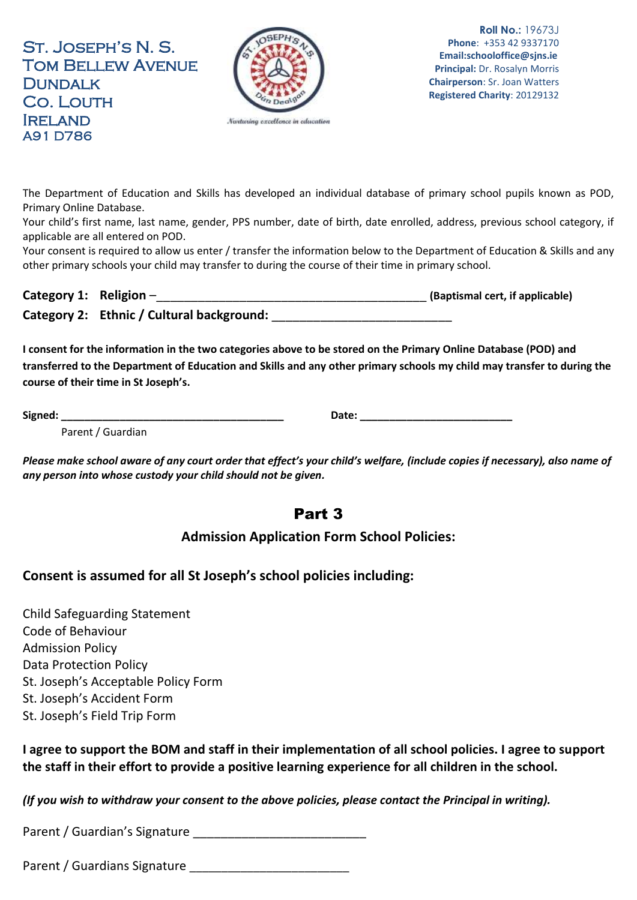St. Joseph's N. S. Tom Bellew Avenue **DUNDALK** Co. Louth **IRELAND** A91 D786



**Roll No.:** 19673J **Phone**: +353 42 9337170 **Email:schooloffice@sjns.ie Principal:** Dr. Rosalyn Morris **Chairperson**: Sr. Joan Watters **Registered Charity**: 20129132

The Department of Education and Skills has developed an individual database of primary school pupils known as POD, Primary Online Database.

Your child's first name, last name, gender, PPS number, date of birth, date enrolled, address, previous school category, if applicable are all entered on POD.

Your consent is required to allow us enter / transfer the information below to the Department of Education & Skills and any other primary schools your child may transfer to during the course of their time in primary school.

| Category 1: Religion $-$ |                                           | (Baptismal cert, if applicable) |
|--------------------------|-------------------------------------------|---------------------------------|
|                          | Category 2: Ethnic / Cultural background: |                                 |

**I consent for the information in the two categories above to be stored on the Primary Online Database (POD) and transferred to the Department of Education and Skills and any other primary schools my child may transfer to during the course of their time in St Joseph's.**

**Signed: \_\_\_\_\_\_\_\_\_\_\_\_\_\_\_\_\_\_\_\_\_\_\_\_\_\_\_\_\_\_\_\_\_\_\_\_\_\_ Date: \_\_\_\_\_\_\_\_\_\_\_\_\_\_\_\_\_\_\_\_\_\_\_\_\_\_**

Parent / Guardian

*Please make school aware of any court order that effect's your child's welfare, (include copies if necessary), also name of any person into whose custody your child should not be given.*

## Part 3

### **Admission Application Form School Policies:**

### **Consent is assumed for all St Joseph's school policies including:**

Child Safeguarding Statement Code of Behaviour Admission Policy Data Protection Policy St. Joseph's Acceptable Policy Form St. Joseph's Accident Form St. Joseph's Field Trip Form

**I agree to support the BOM and staff in their implementation of all school policies. I agree to support the staff in their effort to provide a positive learning experience for all children in the school.** 

*(If you wish to withdraw your consent to the above policies, please contact the Principal in writing).*

Parent / Guardian's Signature

Parent / Guardians Signature \_\_\_\_\_\_\_\_\_\_\_\_\_\_\_\_\_\_\_\_\_\_\_\_\_